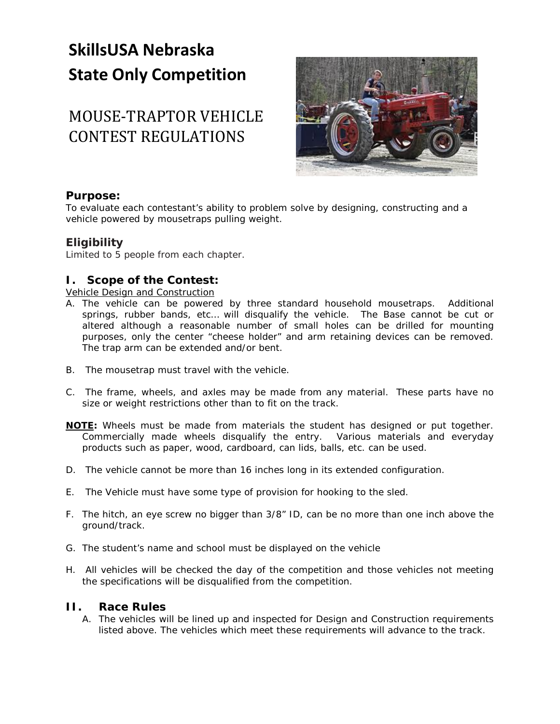# **SkillsUSA Nebraska State Only Competition**

## MOUSE-TRAPTOR VEHICLE CONTEST REGULATIONS



#### **Purpose:**

To evaluate each contestant's ability to problem solve by designing, constructing and a vehicle powered by mousetraps pulling weight.

### **Eligibility**

Limited to 5 people from each chapter.

### **I. Scope of the Contest:**

Vehicle Design and Construction

- A. The vehicle can be powered by three standard household mousetraps. Additional springs, rubber bands, etc… will disqualify the vehicle. The Base cannot be cut or altered although a reasonable number of small holes can be drilled for mounting purposes, only the center "cheese holder" and arm retaining devices can be removed. The trap arm can be extended and/or bent.
- B. The mousetrap must travel with the vehicle.
- C. The frame, wheels, and axles may be made from any material. These parts have no size or weight restrictions other than to fit on the track.
- *NOTE: Wheels must be made from materials the student has designed or put together. Commercially made wheels disqualify the entry. Various materials and everyday products such as paper, wood, cardboard, can lids, balls, etc. can be used.*
- D. The vehicle cannot be more than 16 inches long in its extended configuration.
- E. The Vehicle must have some type of provision for hooking to the sled.
- F. The hitch, an eye screw no bigger than 3/8" ID, can be no more than one inch above the ground/track.
- G. The student's name and school must be displayed on the vehicle
- H. All vehicles will be checked the day of the competition and those vehicles not meeting the specifications will be disqualified from the competition.

#### **II. Race Rules**

A. The vehicles will be lined up and inspected for Design and Construction requirements listed above. The vehicles which meet these requirements will advance to the track.